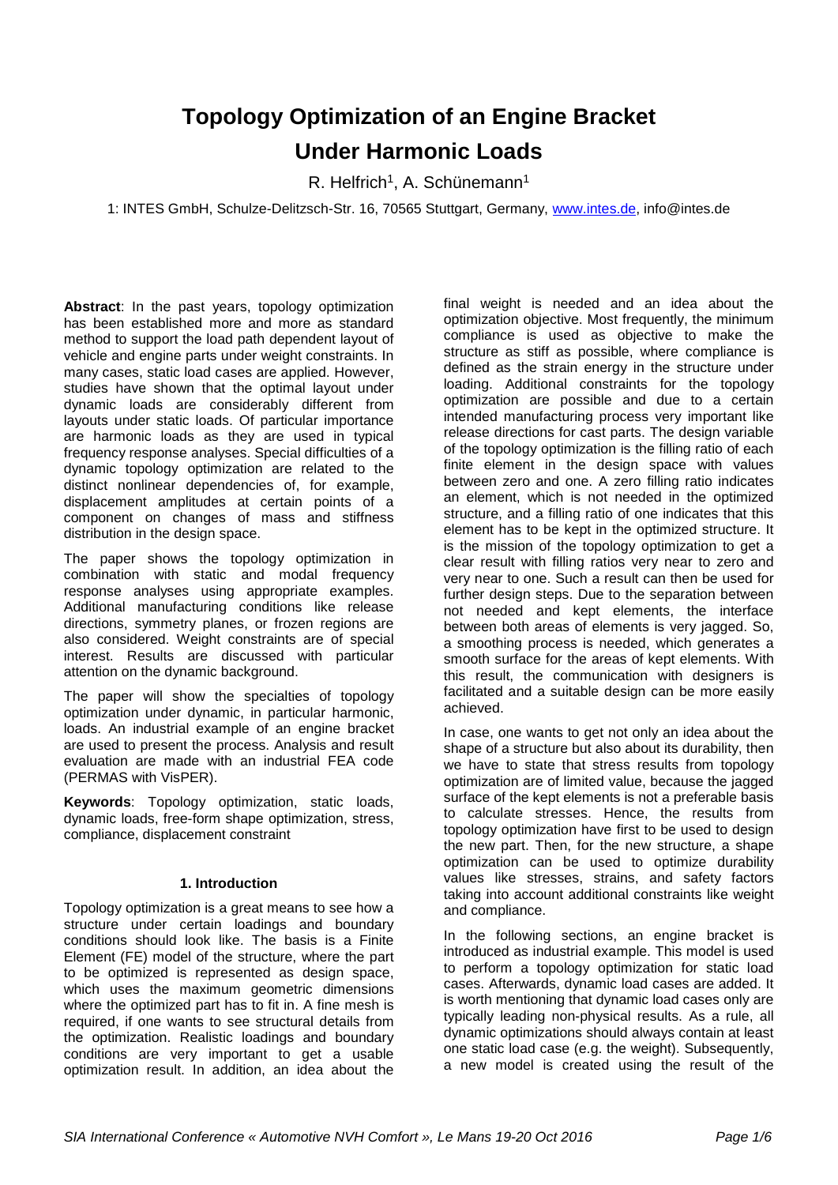# **Topology Optimization of an Engine Bracket Under Harmonic Loads**

R. Helfrich<sup>1</sup>, A. Schünemann<sup>1</sup>

1: INTES GmbH, Schulze-Delitzsch-Str. 16, 70565 Stuttgart, Germany, [www.intes.de,](http://www.intes.de/) info@intes.de

**Abstract**: In the past years, topology optimization has been established more and more as standard method to support the load path dependent layout of vehicle and engine parts under weight constraints. In many cases, static load cases are applied. However, studies have shown that the optimal layout under dynamic loads are considerably different from layouts under static loads. Of particular importance are harmonic loads as they are used in typical frequency response analyses. Special difficulties of a dynamic topology optimization are related to the distinct nonlinear dependencies of, for example, displacement amplitudes at certain points of a component on changes of mass and stiffness distribution in the design space.

The paper shows the topology optimization in combination with static and modal frequency response analyses using appropriate examples. Additional manufacturing conditions like release directions, symmetry planes, or frozen regions are also considered. Weight constraints are of special interest. Results are discussed with particular attention on the dynamic background.

The paper will show the specialties of topology optimization under dynamic, in particular harmonic, loads. An industrial example of an engine bracket are used to present the process. Analysis and result evaluation are made with an industrial FEA code (PERMAS with VisPER).

**Keywords**: Topology optimization, static loads, dynamic loads, free-form shape optimization, stress, compliance, displacement constraint

# **1. Introduction**

Topology optimization is a great means to see how a structure under certain loadings and boundary conditions should look like. The basis is a Finite Element (FE) model of the structure, where the part to be optimized is represented as design space, which uses the maximum geometric dimensions where the optimized part has to fit in. A fine mesh is required, if one wants to see structural details from the optimization. Realistic loadings and boundary conditions are very important to get a usable optimization result. In addition, an idea about the

final weight is needed and an idea about the optimization objective. Most frequently, the minimum compliance is used as objective to make the structure as stiff as possible, where compliance is defined as the strain energy in the structure under loading. Additional constraints for the topology optimization are possible and due to a certain intended manufacturing process very important like release directions for cast parts. The design variable of the topology optimization is the filling ratio of each finite element in the design space with values between zero and one. A zero filling ratio indicates an element, which is not needed in the optimized structure, and a filling ratio of one indicates that this element has to be kept in the optimized structure. It is the mission of the topology optimization to get a clear result with filling ratios very near to zero and very near to one. Such a result can then be used for further design steps. Due to the separation between not needed and kept elements, the interface between both areas of elements is very jagged. So, a smoothing process is needed, which generates a smooth surface for the areas of kept elements. With this result, the communication with designers is facilitated and a suitable design can be more easily achieved.

In case, one wants to get not only an idea about the shape of a structure but also about its durability, then we have to state that stress results from topology optimization are of limited value, because the jagged surface of the kept elements is not a preferable basis to calculate stresses. Hence, the results from topology optimization have first to be used to design the new part. Then, for the new structure, a shape optimization can be used to optimize durability values like stresses, strains, and safety factors taking into account additional constraints like weight and compliance.

In the following sections, an engine bracket is introduced as industrial example. This model is used to perform a topology optimization for static load cases. Afterwards, dynamic load cases are added. It is worth mentioning that dynamic load cases only are typically leading non-physical results. As a rule, all dynamic optimizations should always contain at least one static load case (e.g. the weight). Subsequently, a new model is created using the result of the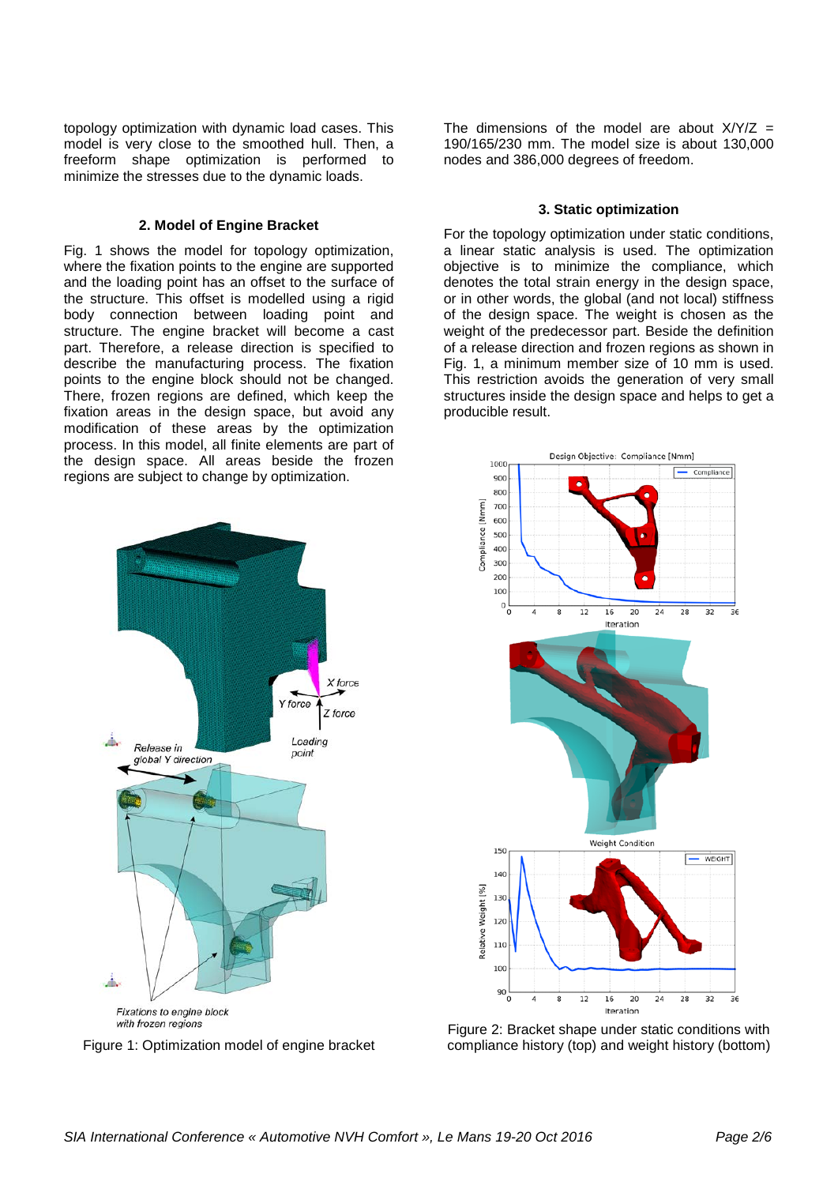topology optimization with dynamic load cases. This model is very close to the smoothed hull. Then, a freeform shape optimization is performed to minimize the stresses due to the dynamic loads.

# **2. Model of Engine Bracket**

Fig. 1 shows the model for topology optimization, where the fixation points to the engine are supported and the loading point has an offset to the surface of the structure. This offset is modelled using a rigid body connection between loading point and structure. The engine bracket will become a cast part. Therefore, a release direction is specified to describe the manufacturing process. The fixation points to the engine block should not be changed. There, frozen regions are defined, which keep the fixation areas in the design space, but avoid any modification of these areas by the optimization process. In this model, all finite elements are part of the design space. All areas beside the frozen regions are subject to change by optimization.

The dimensions of the model are about  $X/Y/Z =$ 190/165/230 mm. The model size is about 130,000 nodes and 386,000 degrees of freedom.

## **3. Static optimization**

For the topology optimization under static conditions, a linear static analysis is used. The optimization objective is to minimize the compliance, which denotes the total strain energy in the design space, or in other words, the global (and not local) stiffness of the design space. The weight is chosen as the weight of the predecessor part. Beside the definition of a release direction and frozen regions as shown in Fig. 1, a minimum member size of 10 mm is used. This restriction avoids the generation of very small structures inside the design space and helps to get a producible result.





Figure 2: Bracket shape under static conditions with compliance history (top) and weight history (bottom)



Figure 1: Optimization model of engine bracket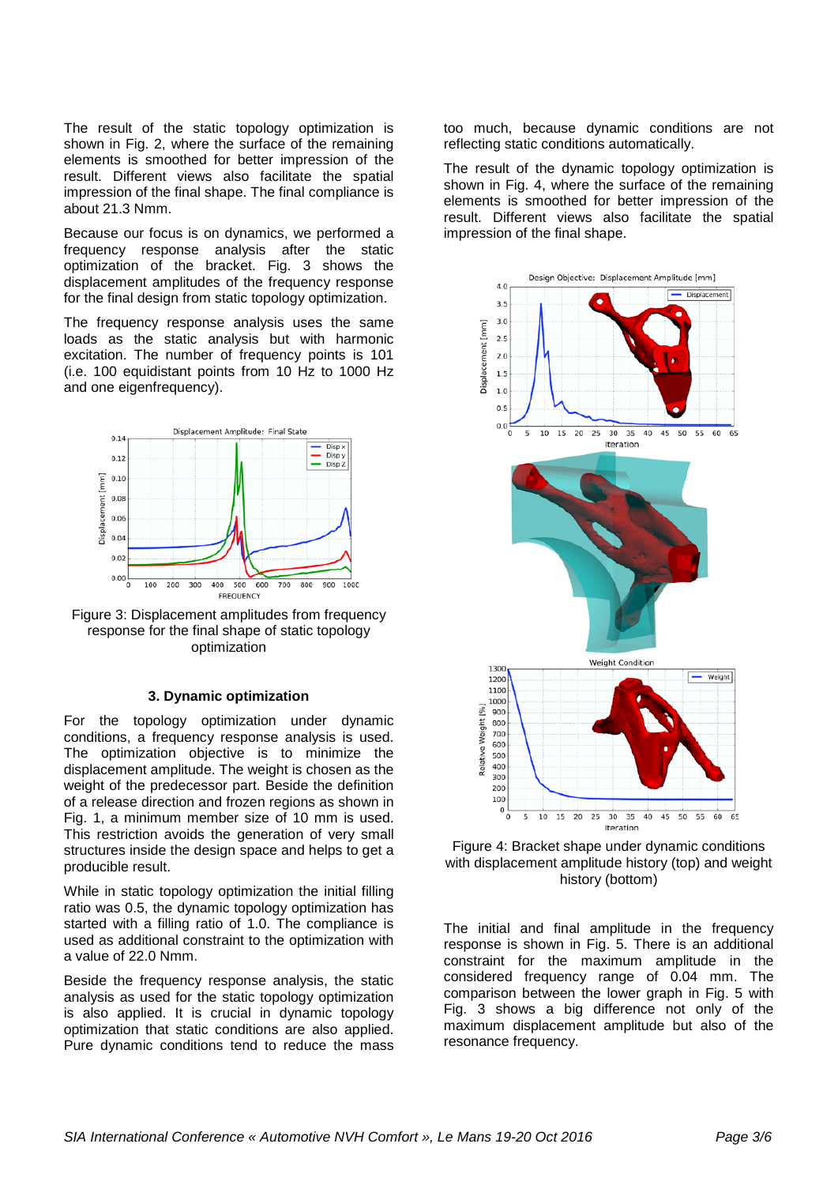The result of the static topology optimization is shown in Fig. 2, where the surface of the remaining elements is smoothed for better impression of the result. Different views also facilitate the spatial impression of the final shape. The final compliance is about 21.3 Nmm.

Because our focus is on dynamics, we performed a frequency response analysis after the static optimization of the bracket. Fig. 3 shows the displacement amplitudes of the frequency response for the final design from static topology optimization.

The frequency response analysis uses the same loads as the static analysis but with harmonic excitation. The number of frequency points is 101 (i.e. 100 equidistant points from 10 Hz to 1000 Hz and one eigenfrequency).



Figure 3: Displacement amplitudes from frequency response for the final shape of static topology optimization

#### **3. Dynamic optimization**

For the topology optimization under dynamic conditions, a frequency response analysis is used. The optimization objective is to minimize the displacement amplitude. The weight is chosen as the weight of the predecessor part. Beside the definition of a release direction and frozen regions as shown in Fig. 1, a minimum member size of 10 mm is used. This restriction avoids the generation of very small structures inside the design space and helps to get a producible result.

While in static topology optimization the initial filling ratio was 0.5, the dynamic topology optimization has started with a filling ratio of 1.0. The compliance is used as additional constraint to the optimization with a value of 22.0 Nmm.

Beside the frequency response analysis, the static analysis as used for the static topology optimization is also applied. It is crucial in dynamic topology optimization that static conditions are also applied. Pure dynamic conditions tend to reduce the mass

too much, because dynamic conditions are not reflecting static conditions automatically.

The result of the dynamic topology optimization is shown in Fig. 4, where the surface of the remaining elements is smoothed for better impression of the result. Different views also facilitate the spatial impression of the final shape.



Figure 4: Bracket shape under dynamic conditions with displacement amplitude history (top) and weight history (bottom)

The initial and final amplitude in the frequency response is shown in Fig. 5. There is an additional constraint for the maximum amplitude in the considered frequency range of 0.04 mm. The comparison between the lower graph in Fig. 5 with Fig. 3 shows a big difference not only of the maximum displacement amplitude but also of the resonance frequency.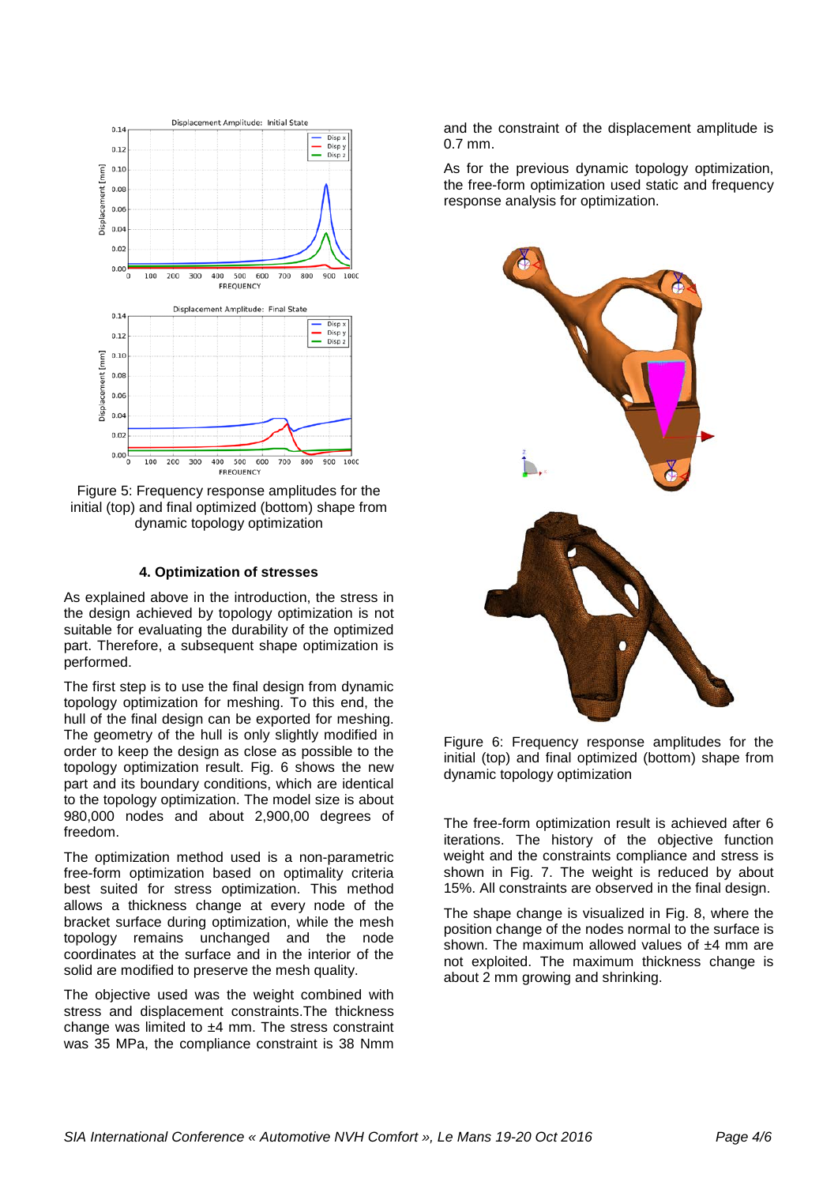

Figure 5: Frequency response amplitudes for the initial (top) and final optimized (bottom) shape from dynamic topology optimization

## **4. Optimization of stresses**

As explained above in the introduction, the stress in the design achieved by topology optimization is not suitable for evaluating the durability of the optimized part. Therefore, a subsequent shape optimization is performed.

The first step is to use the final design from dynamic topology optimization for meshing. To this end, the hull of the final design can be exported for meshing. The geometry of the hull is only slightly modified in order to keep the design as close as possible to the topology optimization result. Fig. 6 shows the new part and its boundary conditions, which are identical to the topology optimization. The model size is about 980,000 nodes and about 2,900,00 degrees of freedom.

The optimization method used is a non-parametric free-form optimization based on optimality criteria best suited for stress optimization. This method allows a thickness change at every node of the bracket surface during optimization, while the mesh topology remains unchanged and the node coordinates at the surface and in the interior of the solid are modified to preserve the mesh quality.

The objective used was the weight combined with stress and displacement constraints.The thickness change was limited to ±4 mm. The stress constraint was 35 MPa, the compliance constraint is 38 Nmm and the constraint of the displacement amplitude is 0.7 mm.

As for the previous dynamic topology optimization, the free-form optimization used static and frequency response analysis for optimization.



Figure 6: Frequency response amplitudes for the initial (top) and final optimized (bottom) shape from dynamic topology optimization

The free-form optimization result is achieved after 6 iterations. The history of the objective function weight and the constraints compliance and stress is shown in Fig. 7. The weight is reduced by about 15%. All constraints are observed in the final design.

The shape change is visualized in Fig. 8, where the position change of the nodes normal to the surface is shown. The maximum allowed values of  $±4$  mm are not exploited. The maximum thickness change is about 2 mm growing and shrinking.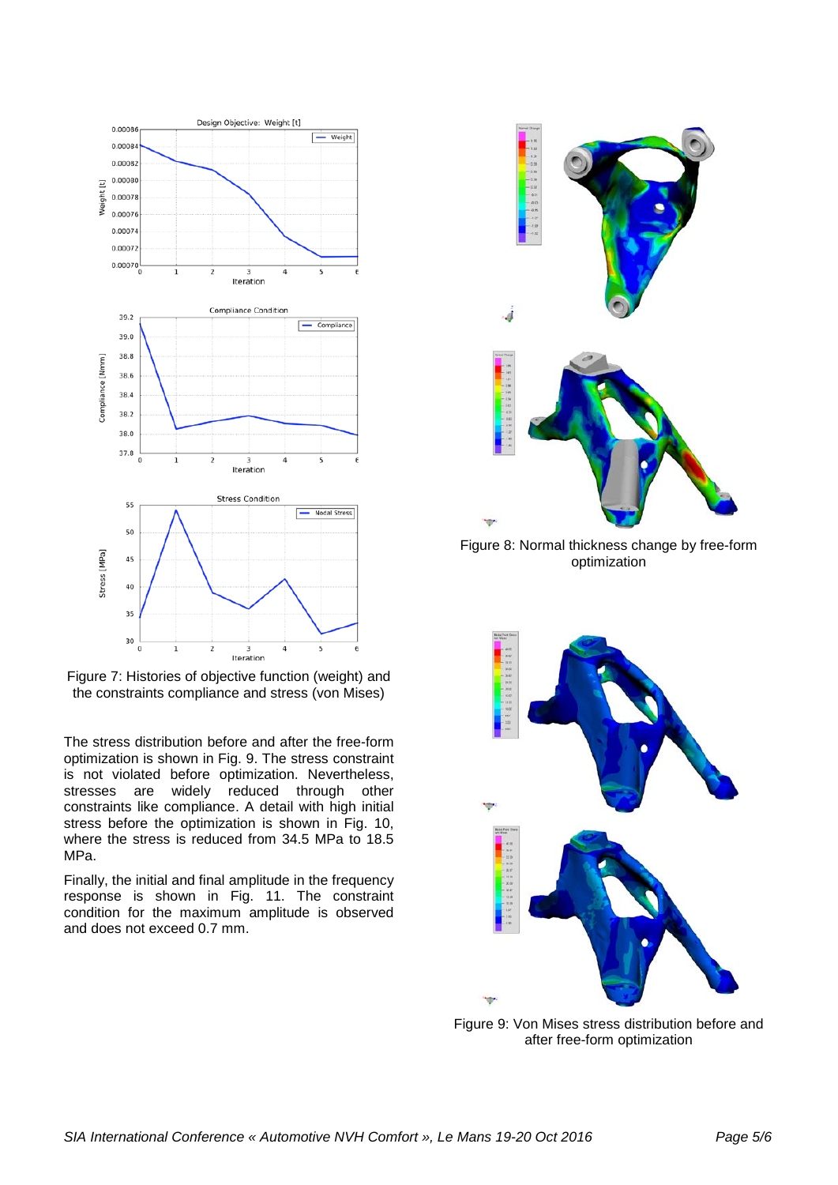

Figure 7: Histories of objective function (weight) and the constraints compliance and stress (von Mises)

The stress distribution before and after the free-form optimization is shown in Fig. 9. The stress constraint is not violated before optimization. Nevertheless, stresses are widely reduced through other constraints like compliance. A detail with high initial stress before the optimization is shown in Fig. 10, where the stress is reduced from  $34.5$  MPa to  $18.5$ MPa.

Finally, the initial and final amplitude in the frequency response is shown in Fig. 11. The constraint condition for the maximum amplitude is observed and does not exceed 0.7 mm.



Figure 9: Von Mises stress distribution before and after free-form optimization